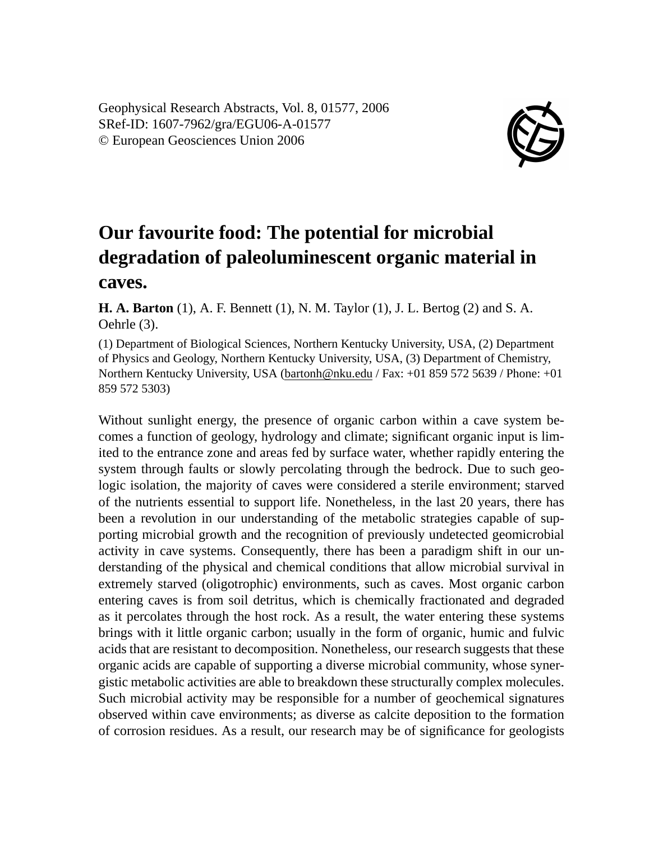Geophysical Research Abstracts, Vol. 8, 01577, 2006 SRef-ID: 1607-7962/gra/EGU06-A-01577 © European Geosciences Union 2006



## **Our favourite food: The potential for microbial degradation of paleoluminescent organic material in caves.**

**H. A. Barton** (1), A. F. Bennett (1), N. M. Taylor (1), J. L. Bertog (2) and S. A. Oehrle (3).

(1) Department of Biological Sciences, Northern Kentucky University, USA, (2) Department of Physics and Geology, Northern Kentucky University, USA, (3) Department of Chemistry, Northern Kentucky University, USA (bartonh@nku.edu / Fax: +01 859 572 5639 / Phone: +01 859 572 5303)

Without sunlight energy, the presence of organic carbon within a cave system becomes a function of geology, hydrology and climate; significant organic input is limited to the entrance zone and areas fed by surface water, whether rapidly entering the system through faults or slowly percolating through the bedrock. Due to such geologic isolation, the majority of caves were considered a sterile environment; starved of the nutrients essential to support life. Nonetheless, in the last 20 years, there has been a revolution in our understanding of the metabolic strategies capable of supporting microbial growth and the recognition of previously undetected geomicrobial activity in cave systems. Consequently, there has been a paradigm shift in our understanding of the physical and chemical conditions that allow microbial survival in extremely starved (oligotrophic) environments, such as caves. Most organic carbon entering caves is from soil detritus, which is chemically fractionated and degraded as it percolates through the host rock. As a result, the water entering these systems brings with it little organic carbon; usually in the form of organic, humic and fulvic acids that are resistant to decomposition. Nonetheless, our research suggests that these organic acids are capable of supporting a diverse microbial community, whose synergistic metabolic activities are able to breakdown these structurally complex molecules. Such microbial activity may be responsible for a number of geochemical signatures observed within cave environments; as diverse as calcite deposition to the formation of corrosion residues. As a result, our research may be of significance for geologists